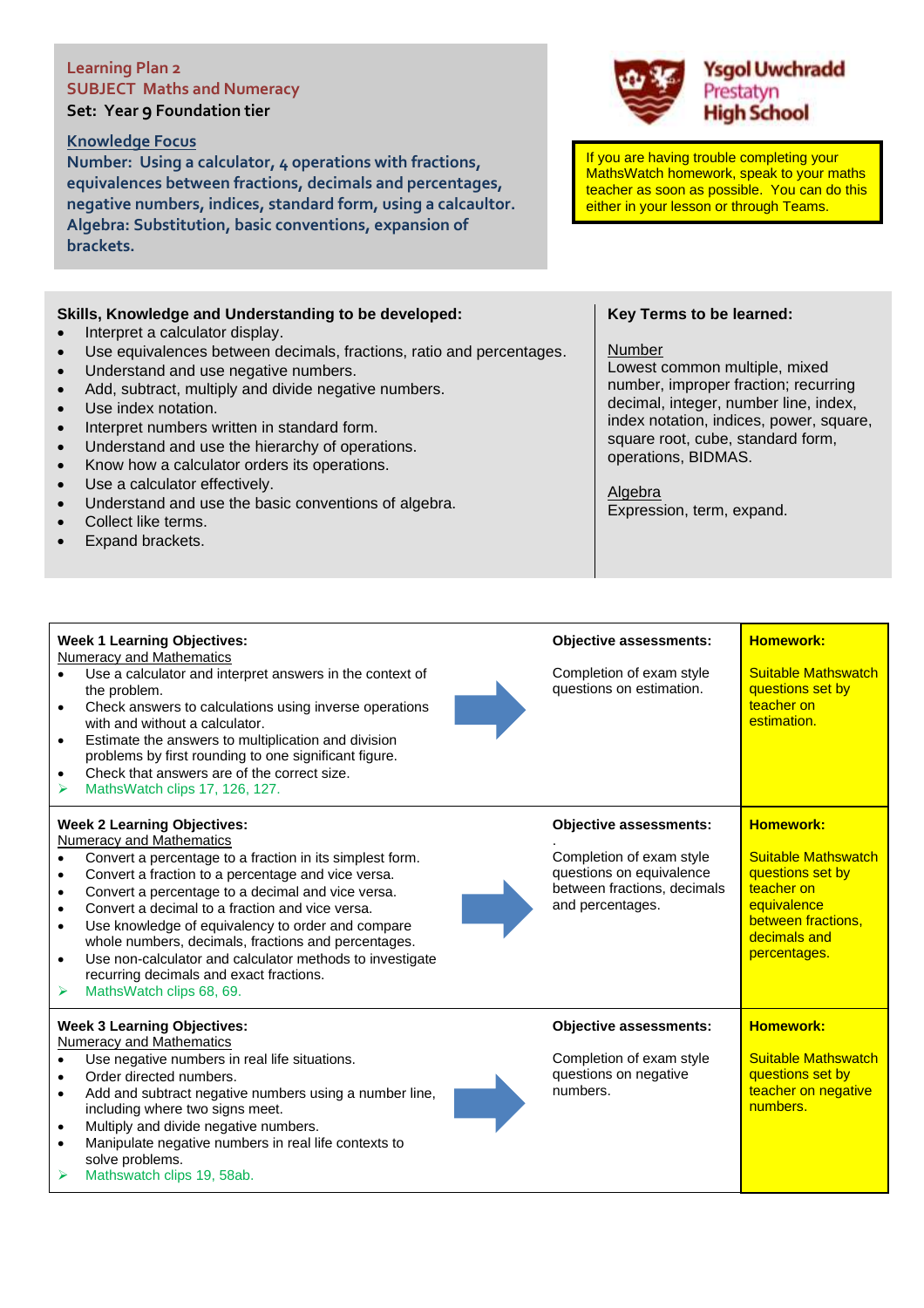# **Learning Plan 2 SUBJECT Maths and Numeracy**

### **Knowledge Focus**

**Number: Using a calculator, 4 operations with fractions, equivalences between fractions, decimals and percentages, negative numbers, indices, standard form, using a calcaultor. Algebra: Substitution, basic conventions, expansion of brackets.**

# **Skills, Knowledge and Understanding to be developed:**

- Interpret a calculator display.
- Use equivalences between decimals, fractions, ratio and percentages.
- Understand and use negative numbers.
- Add, subtract, multiply and divide negative numbers.
- Use index notation.
- Interpret numbers written in standard form.
- Understand and use the hierarchy of operations.
- Know how a calculator orders its operations.
- Use a calculator effectively.
- Understand and use the basic conventions of algebra.
- Collect like terms.
- Expand brackets.

**Week 1 Learning Objectives:**

solve problems.

Mathswatch clips 19, 58ab.

#### **Key Terms to be learned:**

If you are having trouble completing your MathsWatch homework, speak to your maths teacher as soon as possible. You can do this either in your lesson or through Teams.

**Ysgol Uwchradd** 

Prestatyn **High School** 

#### Number

**Objective assessments:**

Lowest common multiple, mixed number, improper fraction; recurring decimal, integer, number line, index, index notation, indices, power, square, square root, cube, standard form, operations, BIDMAS.

**Homework:**

Algebra Expression, term, expand.

| <b>Numeracy and Mathematics</b><br>Use a calculator and interpret answers in the context of<br>the problem.<br>Check answers to calculations using inverse operations<br>with and without a calculator.<br>Estimate the answers to multiplication and division<br>$\bullet$<br>problems by first rounding to one significant figure.<br>Check that answers are of the correct size.<br>MathsWatch clips 17, 126, 127.<br>⋗                                                                                                                                                    | Completion of exam style<br>questions on estimation.                                                                                     | <b>Suitable Mathswatch</b><br>questions set by<br>teacher on<br>estimation.                                                                           |
|-------------------------------------------------------------------------------------------------------------------------------------------------------------------------------------------------------------------------------------------------------------------------------------------------------------------------------------------------------------------------------------------------------------------------------------------------------------------------------------------------------------------------------------------------------------------------------|------------------------------------------------------------------------------------------------------------------------------------------|-------------------------------------------------------------------------------------------------------------------------------------------------------|
| <b>Week 2 Learning Objectives:</b><br><b>Numeracy and Mathematics</b><br>Convert a percentage to a fraction in its simplest form.<br>Convert a fraction to a percentage and vice versa.<br>$\bullet$<br>Convert a percentage to a decimal and vice versa.<br>$\bullet$<br>Convert a decimal to a fraction and vice versa.<br>Use knowledge of equivalency to order and compare<br>whole numbers, decimals, fractions and percentages.<br>Use non-calculator and calculator methods to investigate<br>recurring decimals and exact fractions.<br>MathsWatch clips 68, 69.<br>⋗ | <b>Objective assessments:</b><br>Completion of exam style<br>questions on equivalence<br>between fractions, decimals<br>and percentages. | <b>Homework:</b><br><b>Suitable Mathswatch</b><br>questions set by<br>teacher on<br>equivalence<br>between fractions,<br>decimals and<br>percentages. |
| <b>Week 3 Learning Objectives:</b><br>Numeracy and Mathematics<br>Use negative numbers in real life situations.<br>Order directed numbers.<br>Add and subtract negative numbers using a number line,<br>including where two signs meet.<br>Multiply and divide negative numbers.<br>Manipulate negative numbers in real life contexts to                                                                                                                                                                                                                                      | <b>Objective assessments:</b><br>Completion of exam style<br>questions on negative<br>numbers.                                           | <b>Homework:</b><br><b>Suitable Mathswatch</b><br>questions set by<br>teacher on negative<br>numbers.                                                 |

**Set: Year 9 Foundation tier**